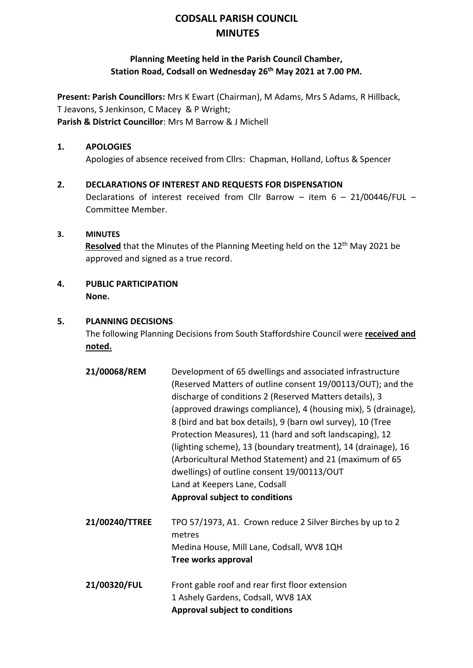# **CODSALL PARISH COUNCIL MINUTES**

# **Planning Meeting held in the Parish Council Chamber, Station Road, Codsall on Wednesday 26th May 2021 at 7.00 PM.**

**Present: Parish Councillors:** Mrs K Ewart (Chairman), M Adams, Mrs S Adams, R Hillback, T Jeavons, S Jenkinson, C Macey & P Wright; **Parish & District Councillor**: Mrs M Barrow & J Michell

#### **1. APOLOGIES**

Apologies of absence received from Cllrs: Chapman, Holland, Loftus & Spencer

#### **2. DECLARATIONS OF INTEREST AND REQUESTS FOR DISPENSATION**

Declarations of interest received from Cllr Barrow – item 6 – 21/00446/FUL – Committee Member.

#### **3. MINUTES**

**Resolved** that the Minutes of the Planning Meeting held on the 12<sup>th</sup> May 2021 be approved and signed as a true record.

#### **4. PUBLIC PARTICIPATION None.**

#### **5. PLANNING DECISIONS**

The following Planning Decisions from South Staffordshire Council were **received and noted.**

| 21/00068/REM   | Development of 65 dwellings and associated infrastructure<br>(Reserved Matters of outline consent 19/00113/OUT); and the<br>discharge of conditions 2 (Reserved Matters details), 3<br>(approved drawings compliance), 4 (housing mix), 5 (drainage),<br>8 (bird and bat box details), 9 (barn owl survey), 10 (Tree<br>Protection Measures), 11 (hard and soft landscaping), 12<br>(lighting scheme), 13 (boundary treatment), 14 (drainage), 16<br>(Arboricultural Method Statement) and 21 (maximum of 65<br>dwellings) of outline consent 19/00113/OUT<br>Land at Keepers Lane, Codsall<br><b>Approval subject to conditions</b> |
|----------------|--------------------------------------------------------------------------------------------------------------------------------------------------------------------------------------------------------------------------------------------------------------------------------------------------------------------------------------------------------------------------------------------------------------------------------------------------------------------------------------------------------------------------------------------------------------------------------------------------------------------------------------|
| 21/00240/TTREE | TPO 57/1973, A1. Crown reduce 2 Silver Birches by up to 2<br>metres<br>Medina House, Mill Lane, Codsall, WV8 1QH                                                                                                                                                                                                                                                                                                                                                                                                                                                                                                                     |
|                | Tree works approval                                                                                                                                                                                                                                                                                                                                                                                                                                                                                                                                                                                                                  |
| 21/00320/FUL   | Front gable roof and rear first floor extension                                                                                                                                                                                                                                                                                                                                                                                                                                                                                                                                                                                      |
|                | 1 Ashely Gardens, Codsall, WV8 1AX                                                                                                                                                                                                                                                                                                                                                                                                                                                                                                                                                                                                   |

**Approval subject to conditions**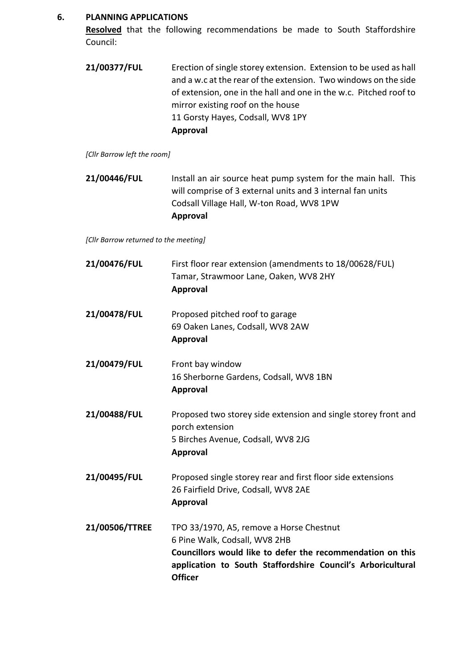#### **6. PLANNING APPLICATIONS**

**Resolved** that the following recommendations be made to South Staffordshire Council:

| 21/00377/FUL | Erection of single storey extension. Extension to be used as hall |
|--------------|-------------------------------------------------------------------|
|              | and a w.c at the rear of the extension. Two windows on the side   |
|              | of extension, one in the hall and one in the w.c. Pitched roof to |
|              | mirror existing roof on the house                                 |
|              | 11 Gorsty Hayes, Codsall, WV8 1PY                                 |
|              | Approval                                                          |

*[Cllr Barrow left the room]*

**21/00446/FUL** Install an air source heat pump system for the main hall. This will comprise of 3 external units and 3 internal fan units Codsall Village Hall, W-ton Road, WV8 1PW **Approval**

*[Cllr Barrow returned to the meeting]*

| 21/00476/FUL   | First floor rear extension (amendments to 18/00628/FUL)<br>Tamar, Strawmoor Lane, Oaken, WV8 2HY<br><b>Approval</b>                                                                                                      |
|----------------|--------------------------------------------------------------------------------------------------------------------------------------------------------------------------------------------------------------------------|
| 21/00478/FUL   | Proposed pitched roof to garage<br>69 Oaken Lanes, Codsall, WV8 2AW<br>Approval                                                                                                                                          |
| 21/00479/FUL   | Front bay window<br>16 Sherborne Gardens, Codsall, WV8 1BN<br><b>Approval</b>                                                                                                                                            |
| 21/00488/FUL   | Proposed two storey side extension and single storey front and<br>porch extension<br>5 Birches Avenue, Codsall, WV8 2JG<br><b>Approval</b>                                                                               |
| 21/00495/FUL   | Proposed single storey rear and first floor side extensions<br>26 Fairfield Drive, Codsall, WV8 2AE<br><b>Approval</b>                                                                                                   |
| 21/00506/TTREE | TPO 33/1970, A5, remove a Horse Chestnut<br>6 Pine Walk, Codsall, WV8 2HB<br>Councillors would like to defer the recommendation on this<br>application to South Staffordshire Council's Arboricultural<br><b>Officer</b> |